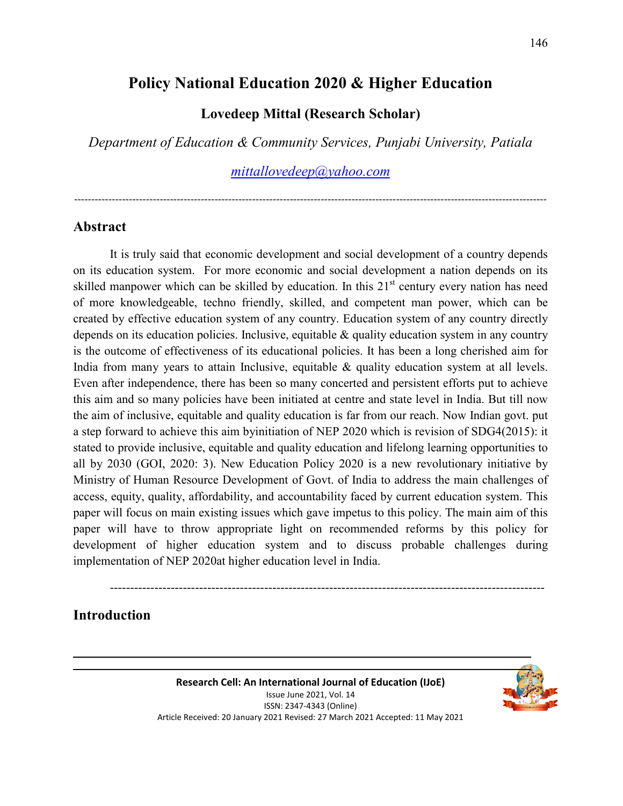# **Policy National Education 2020 & Higher Education**

## **Lovedeep Mittal (Research Scholar)**

*Department of Education & Community Services, Punjabi University, Patiala* 

*mittallovedeep@yahoo.com*

------------------------------------------------------------------------------------------------------------------------------------------

#### **Abstract**

It is truly said that economic development and social development of a country depends on its education system. For more economic and social development a nation depends on its skilled manpower which can be skilled by education. In this  $21<sup>st</sup>$  century every nation has need of more knowledgeable, techno friendly, skilled, and competent man power, which can be created by effective education system of any country. Education system of any country directly depends on its education policies. Inclusive, equitable & quality education system in any country is the outcome of effectiveness of its educational policies. It has been a long cherished aim for India from many years to attain Inclusive, equitable & quality education system at all levels. Even after independence, there has been so many concerted and persistent efforts put to achieve this aim and so many policies have been initiated at centre and state level in India. But till now the aim of inclusive, equitable and quality education is far from our reach. Now Indian govt. put a step forward to achieve this aim byinitiation of NEP 2020 which is revision of SDG4(2015): it stated to provide inclusive, equitable and quality education and lifelong learning opportunities to all by 2030 (GOI, 2020: 3). New Education Policy 2020 is a new revolutionary initiative by Ministry of Human Resource Development of Govt. of India to address the main challenges of access, equity, quality, affordability, and accountability faced by current education system. This paper will focus on main existing issues which gave impetus to this policy. The main aim of this paper will have to throw appropriate light on recommended reforms by this policy for development of higher education system and to discuss probable challenges during implementation of NEP 2020at higher education level in India.

### **Introduction**

-----------------------------------------------------------------------------------------------------------

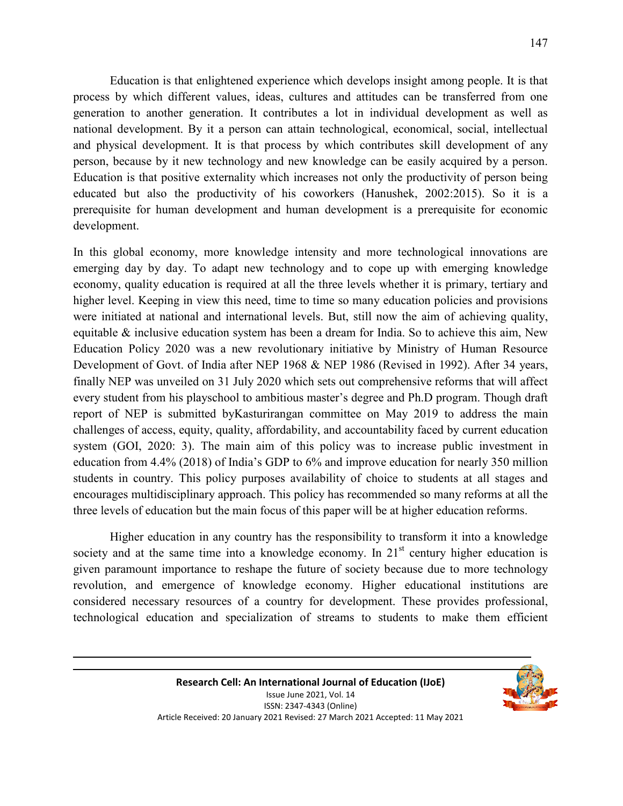Education is that enlightened experience which develops insight among people. It is that process by which different values, ideas, cultures and attitudes can be transferred from one generation to another generation. It contributes a lot in individual development as well as national development. By it a person can attain technological, economical, social, intellectual and physical development. It is that process by which contributes skill development of any person, because by it new technology and new knowledge can be easily acquired by a person. Education is that positive externality which increases not only the productivity of person being educated but also the productivity of his coworkers (Hanushek, 2002:2015). So it is a prerequisite for human development and human development is a prerequisite for economic development.

In this global economy, more knowledge intensity and more technological innovations are emerging day by day. To adapt new technology and to cope up with emerging knowledge economy, quality education is required at all the three levels whether it is primary, tertiary and higher level. Keeping in view this need, time to time so many education policies and provisions were initiated at national and international levels. But, still now the aim of achieving quality, equitable & inclusive education system has been a dream for India. So to achieve this aim, New Education Policy 2020 was a new revolutionary initiative by Ministry of Human Resource Development of Govt. of India after NEP 1968 & NEP 1986 (Revised in 1992). After 34 years, finally NEP was unveiled on 31 July 2020 which sets out comprehensive reforms that will affect every student from his playschool to ambitious master's degree and Ph.D program. Though draft report of NEP is submitted byKasturirangan committee on May 2019 to address the main challenges of access, equity, quality, affordability, and accountability faced by current education system (GOI, 2020: 3). The main aim of this policy was to increase public investment in education from 4.4% (2018) of India's GDP to 6% and improve education for nearly 350 million students in country. This policy purposes availability of choice to students at all stages and encourages multidisciplinary approach. This policy has recommended so many reforms at all the three levels of education but the main focus of this paper will be at higher education reforms.

Higher education in any country has the responsibility to transform it into a knowledge society and at the same time into a knowledge economy. In  $21<sup>st</sup>$  century higher education is given paramount importance to reshape the future of society because due to more technology revolution, and emergence of knowledge economy. Higher educational institutions are considered necessary resources of a country for development. These provides professional, technological education and specialization of streams to students to make them efficient

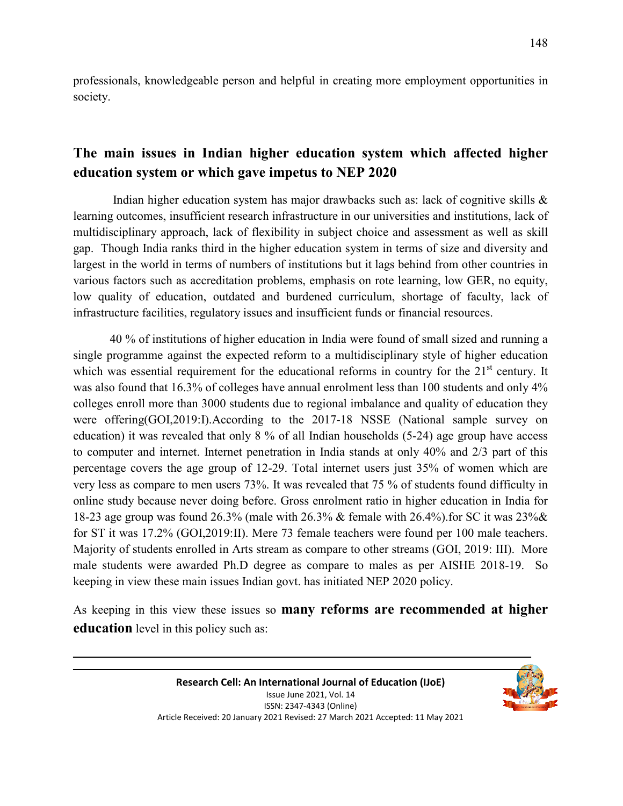professionals, knowledgeable person and helpful in creating more employment opportunities in society.

## **The main issues in Indian higher education system which affected higher education system or which gave impetus to NEP 2020**

 Indian higher education system has major drawbacks such as: lack of cognitive skills & learning outcomes, insufficient research infrastructure in our universities and institutions, lack of multidisciplinary approach, lack of flexibility in subject choice and assessment as well as skill gap. Though India ranks third in the higher education system in terms of size and diversity and largest in the world in terms of numbers of institutions but it lags behind from other countries in various factors such as accreditation problems, emphasis on rote learning, low GER, no equity, low quality of education, outdated and burdened curriculum, shortage of faculty, lack of infrastructure facilities, regulatory issues and insufficient funds or financial resources.

40 % of institutions of higher education in India were found of small sized and running a single programme against the expected reform to a multidisciplinary style of higher education which was essential requirement for the educational reforms in country for the  $21<sup>st</sup>$  century. It was also found that 16.3% of colleges have annual enrolment less than 100 students and only 4% colleges enroll more than 3000 students due to regional imbalance and quality of education they were offering(GOI,2019:I).According to the 2017-18 NSSE (National sample survey on education) it was revealed that only 8 % of all Indian households (5-24) age group have access to computer and internet. Internet penetration in India stands at only 40% and 2/3 part of this percentage covers the age group of 12-29. Total internet users just 35% of women which are very less as compare to men users 73%. It was revealed that 75 % of students found difficulty in online study because never doing before. Gross enrolment ratio in higher education in India for 18-23 age group was found 26.3% (male with 26.3% & female with 26.4%).for SC it was 23%& for ST it was 17.2% (GOI,2019:II). Mere 73 female teachers were found per 100 male teachers. Majority of students enrolled in Arts stream as compare to other streams (GOI, 2019: III). More male students were awarded Ph.D degree as compare to males as per AISHE 2018-19. So keeping in view these main issues Indian govt. has initiated NEP 2020 policy.

As keeping in this view these issues so **many reforms are recommended at higher education** level in this policy such as:

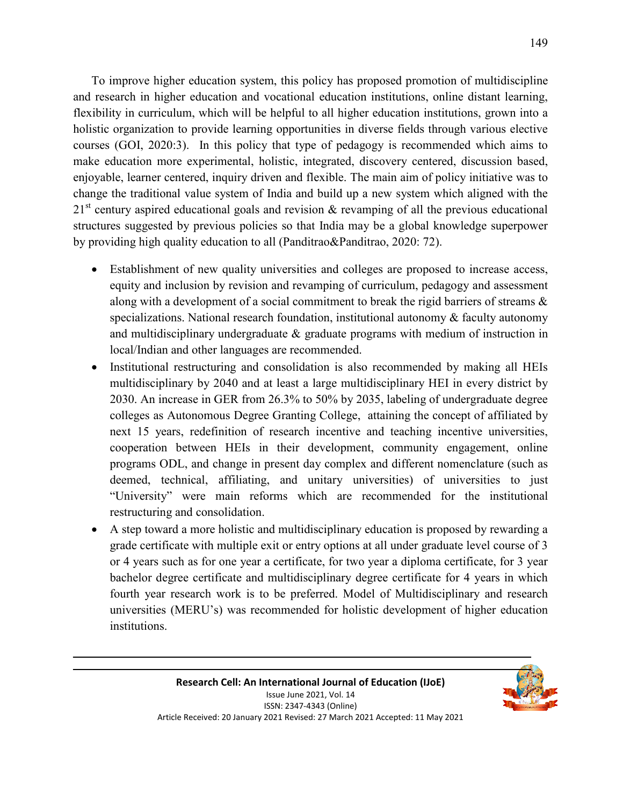To improve higher education system, this policy has proposed promotion of multidiscipline and research in higher education and vocational education institutions, online distant learning, flexibility in curriculum, which will be helpful to all higher education institutions, grown into a holistic organization to provide learning opportunities in diverse fields through various elective courses (GOI, 2020:3). In this policy that type of pedagogy is recommended which aims to make education more experimental, holistic, integrated, discovery centered, discussion based, enjoyable, learner centered, inquiry driven and flexible. The main aim of policy initiative was to change the traditional value system of India and build up a new system which aligned with the  $21<sup>st</sup>$  century aspired educational goals and revision & revamping of all the previous educational structures suggested by previous policies so that India may be a global knowledge superpower by providing high quality education to all (Panditrao&Panditrao, 2020: 72).

- Establishment of new quality universities and colleges are proposed to increase access, equity and inclusion by revision and revamping of curriculum, pedagogy and assessment along with a development of a social commitment to break the rigid barriers of streams & specializations. National research foundation, institutional autonomy  $\&$  faculty autonomy and multidisciplinary undergraduate & graduate programs with medium of instruction in local/Indian and other languages are recommended.
- Institutional restructuring and consolidation is also recommended by making all HEIs multidisciplinary by 2040 and at least a large multidisciplinary HEI in every district by 2030. An increase in GER from 26.3% to 50% by 2035, labeling of undergraduate degree colleges as Autonomous Degree Granting College, attaining the concept of affiliated by next 15 years, redefinition of research incentive and teaching incentive universities, cooperation between HEIs in their development, community engagement, online programs ODL, and change in present day complex and different nomenclature (such as deemed, technical, affiliating, and unitary universities) of universities to just "University" were main reforms which are recommended for the institutional restructuring and consolidation.
- A step toward a more holistic and multidisciplinary education is proposed by rewarding a grade certificate with multiple exit or entry options at all under graduate level course of 3 or 4 years such as for one year a certificate, for two year a diploma certificate, for 3 year bachelor degree certificate and multidisciplinary degree certificate for 4 years in which fourth year research work is to be preferred. Model of Multidisciplinary and research universities (MERU's) was recommended for holistic development of higher education institutions.

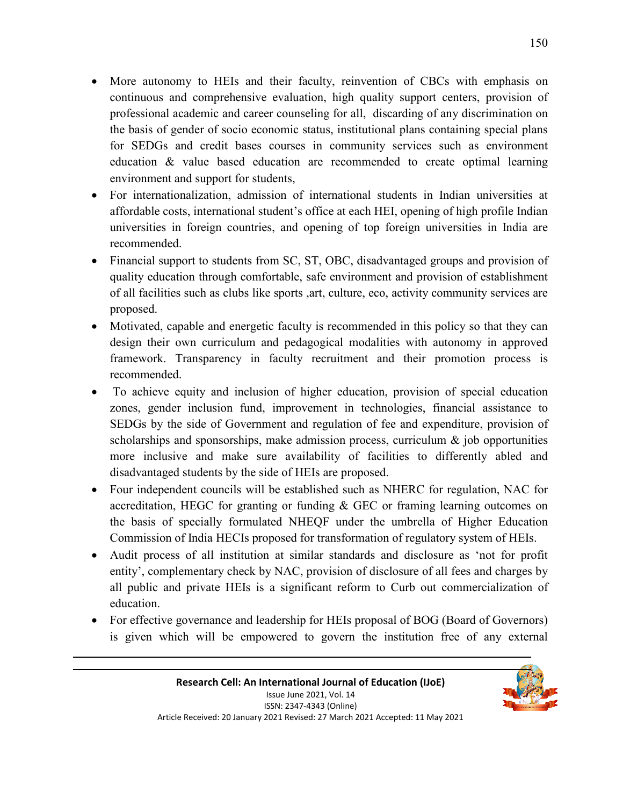- More autonomy to HEIs and their faculty, reinvention of CBCs with emphasis on continuous and comprehensive evaluation, high quality support centers, provision of professional academic and career counseling for all, discarding of any discrimination on the basis of gender of socio economic status, institutional plans containing special plans for SEDGs and credit bases courses in community services such as environment education & value based education are recommended to create optimal learning environment and support for students,
- For internationalization, admission of international students in Indian universities at affordable costs, international student's office at each HEI, opening of high profile Indian universities in foreign countries, and opening of top foreign universities in India are recommended.
- Financial support to students from SC, ST, OBC, disadvantaged groups and provision of quality education through comfortable, safe environment and provision of establishment of all facilities such as clubs like sports ,art, culture, eco, activity community services are proposed.
- Motivated, capable and energetic faculty is recommended in this policy so that they can design their own curriculum and pedagogical modalities with autonomy in approved framework. Transparency in faculty recruitment and their promotion process is recommended.
- To achieve equity and inclusion of higher education, provision of special education zones, gender inclusion fund, improvement in technologies, financial assistance to SEDGs by the side of Government and regulation of fee and expenditure, provision of scholarships and sponsorships, make admission process, curriculum  $\&$  job opportunities more inclusive and make sure availability of facilities to differently abled and disadvantaged students by the side of HEIs are proposed.
- Four independent councils will be established such as NHERC for regulation, NAC for accreditation, HEGC for granting or funding & GEC or framing learning outcomes on the basis of specially formulated NHEQF under the umbrella of Higher Education Commission of India HECIs proposed for transformation of regulatory system of HEIs.
- Audit process of all institution at similar standards and disclosure as 'not for profit entity', complementary check by NAC, provision of disclosure of all fees and charges by all public and private HEIs is a significant reform to Curb out commercialization of education.
- For effective governance and leadership for HEIs proposal of BOG (Board of Governors) is given which will be empowered to govern the institution free of any external

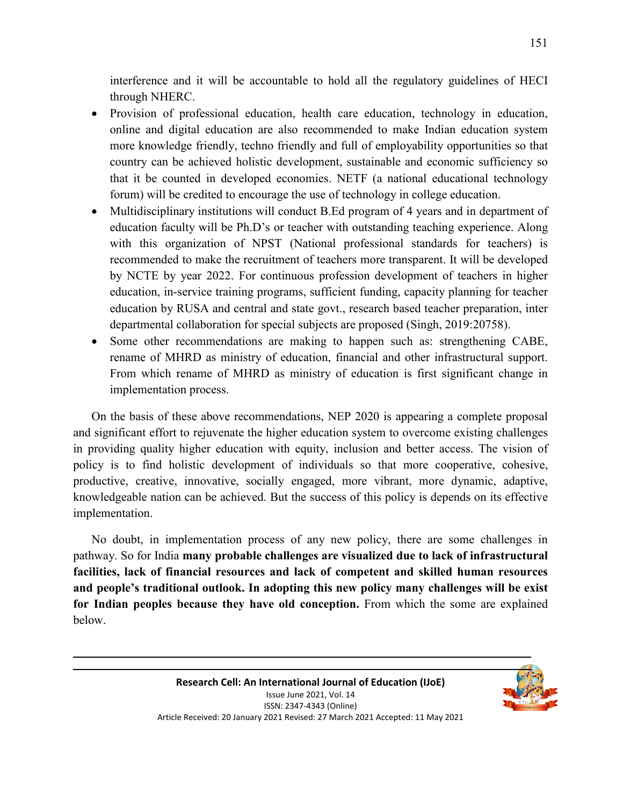interference and it will be accountable to hold all the regulatory guidelines of HECI through NHERC.

- Provision of professional education, health care education, technology in education, online and digital education are also recommended to make Indian education system more knowledge friendly, techno friendly and full of employability opportunities so that country can be achieved holistic development, sustainable and economic sufficiency so that it be counted in developed economies. NETF (a national educational technology forum) will be credited to encourage the use of technology in college education.
- Multidisciplinary institutions will conduct B.Ed program of 4 years and in department of education faculty will be Ph.D's or teacher with outstanding teaching experience. Along with this organization of NPST (National professional standards for teachers) is recommended to make the recruitment of teachers more transparent. It will be developed by NCTE by year 2022. For continuous profession development of teachers in higher education, in-service training programs, sufficient funding, capacity planning for teacher education by RUSA and central and state govt., research based teacher preparation, inter departmental collaboration for special subjects are proposed (Singh, 2019:20758).
- Some other recommendations are making to happen such as: strengthening CABE, rename of MHRD as ministry of education, financial and other infrastructural support. From which rename of MHRD as ministry of education is first significant change in implementation process.

On the basis of these above recommendations, NEP 2020 is appearing a complete proposal and significant effort to rejuvenate the higher education system to overcome existing challenges in providing quality higher education with equity, inclusion and better access. The vision of policy is to find holistic development of individuals so that more cooperative, cohesive, productive, creative, innovative, socially engaged, more vibrant, more dynamic, adaptive, knowledgeable nation can be achieved. But the success of this policy is depends on its effective implementation.

No doubt, in implementation process of any new policy, there are some challenges in pathway. So for India **many probable challenges are visualized due to lack of infrastructural facilities, lack of financial resources and lack of competent and skilled human resources and people's traditional outlook. In adopting this new policy many challenges will be exist for Indian peoples because they have old conception.** From which the some are explained below.

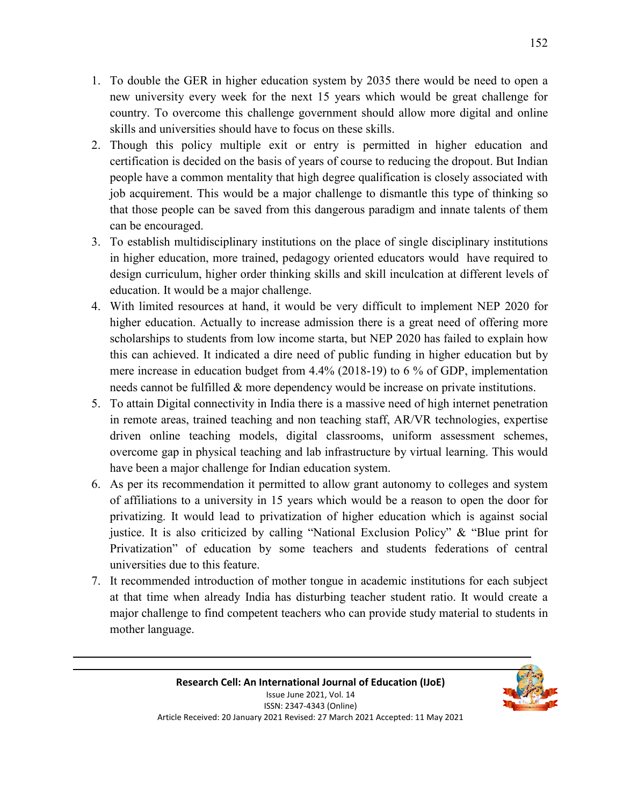- 1. To double the GER in higher education system by 2035 there would be need to open a new university every week for the next 15 years which would be great challenge for country. To overcome this challenge government should allow more digital and online skills and universities should have to focus on these skills.
- 2. Though this policy multiple exit or entry is permitted in higher education and certification is decided on the basis of years of course to reducing the dropout. But Indian people have a common mentality that high degree qualification is closely associated with job acquirement. This would be a major challenge to dismantle this type of thinking so that those people can be saved from this dangerous paradigm and innate talents of them can be encouraged.
- 3. To establish multidisciplinary institutions on the place of single disciplinary institutions in higher education, more trained, pedagogy oriented educators would have required to design curriculum, higher order thinking skills and skill inculcation at different levels of education. It would be a major challenge.
- 4. With limited resources at hand, it would be very difficult to implement NEP 2020 for higher education. Actually to increase admission there is a great need of offering more scholarships to students from low income starta, but NEP 2020 has failed to explain how this can achieved. It indicated a dire need of public funding in higher education but by mere increase in education budget from 4.4% (2018-19) to 6 % of GDP, implementation needs cannot be fulfilled & more dependency would be increase on private institutions.
- 5. To attain Digital connectivity in India there is a massive need of high internet penetration in remote areas, trained teaching and non teaching staff, AR/VR technologies, expertise driven online teaching models, digital classrooms, uniform assessment schemes, overcome gap in physical teaching and lab infrastructure by virtual learning. This would have been a major challenge for Indian education system.
- 6. As per its recommendation it permitted to allow grant autonomy to colleges and system of affiliations to a university in 15 years which would be a reason to open the door for privatizing. It would lead to privatization of higher education which is against social justice. It is also criticized by calling "National Exclusion Policy" & "Blue print for Privatization" of education by some teachers and students federations of central universities due to this feature.
- 7. It recommended introduction of mother tongue in academic institutions for each subject at that time when already India has disturbing teacher student ratio. It would create a major challenge to find competent teachers who can provide study material to students in mother language.

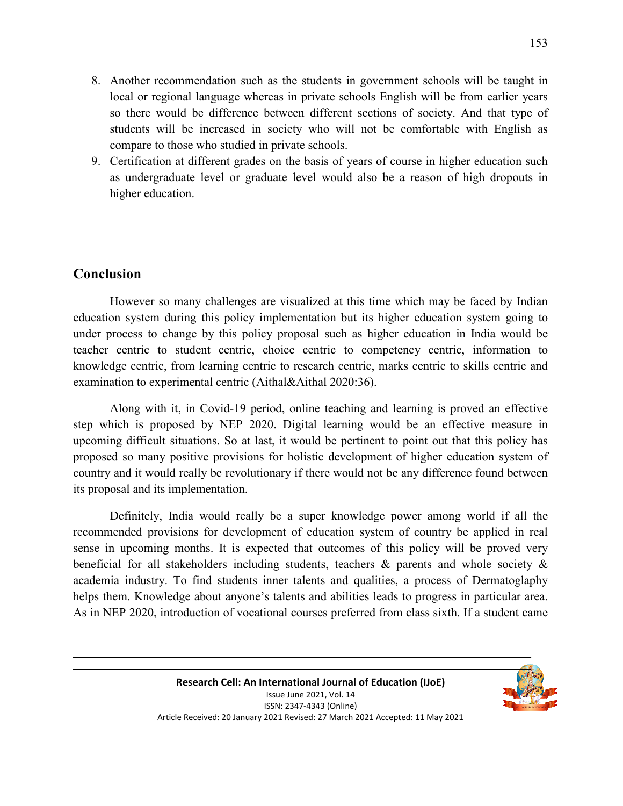- 8. Another recommendation such as the students in government schools will be taught in local or regional language whereas in private schools English will be from earlier years so there would be difference between different sections of society. And that type of students will be increased in society who will not be comfortable with English as compare to those who studied in private schools.
- 9. Certification at different grades on the basis of years of course in higher education such as undergraduate level or graduate level would also be a reason of high dropouts in higher education.

## **Conclusion**

However so many challenges are visualized at this time which may be faced by Indian education system during this policy implementation but its higher education system going to under process to change by this policy proposal such as higher education in India would be teacher centric to student centric, choice centric to competency centric, information to knowledge centric, from learning centric to research centric, marks centric to skills centric and examination to experimental centric (Aithal&Aithal 2020:36).

Along with it, in Covid-19 period, online teaching and learning is proved an effective step which is proposed by NEP 2020. Digital learning would be an effective measure in upcoming difficult situations. So at last, it would be pertinent to point out that this policy has proposed so many positive provisions for holistic development of higher education system of country and it would really be revolutionary if there would not be any difference found between its proposal and its implementation.

Definitely, India would really be a super knowledge power among world if all the recommended provisions for development of education system of country be applied in real sense in upcoming months. It is expected that outcomes of this policy will be proved very beneficial for all stakeholders including students, teachers & parents and whole society & academia industry. To find students inner talents and qualities, a process of Dermatoglaphy helps them. Knowledge about anyone's talents and abilities leads to progress in particular area. As in NEP 2020, introduction of vocational courses preferred from class sixth. If a student came

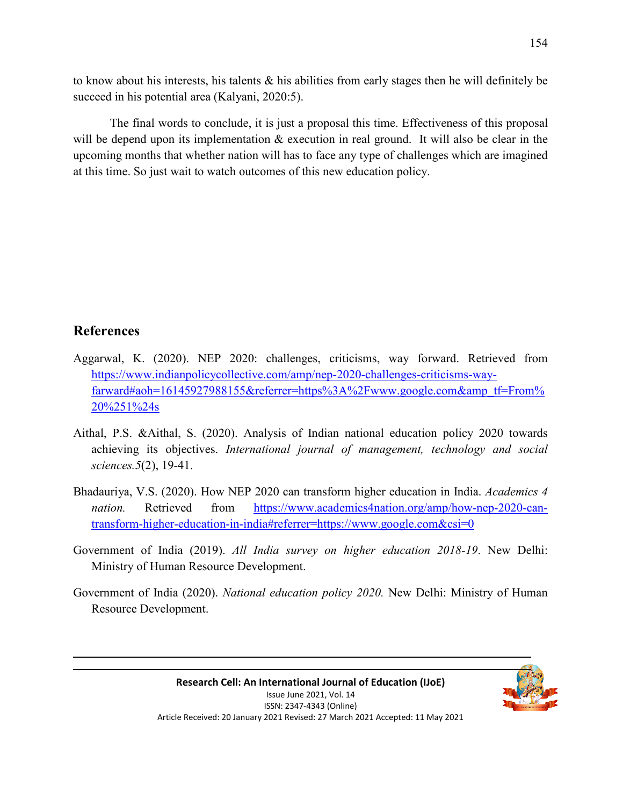to know about his interests, his talents & his abilities from early stages then he will definitely be succeed in his potential area (Kalyani, 2020:5).

The final words to conclude, it is just a proposal this time. Effectiveness of this proposal will be depend upon its implementation  $\&$  execution in real ground. It will also be clear in the upcoming months that whether nation will has to face any type of challenges which are imagined at this time. So just wait to watch outcomes of this new education policy.

## **References**

- Aggarwal, K. (2020). NEP 2020: challenges, criticisms, way forward. Retrieved from https://www.indianpolicycollective.com/amp/nep-2020-challenges-criticisms-wayfarward#aoh=16145927988155&referrer=https%3A%2Fwww.google.com&amp\_tf=From% 20%251%24s
- Aithal, P.S. &Aithal, S. (2020). Analysis of Indian national education policy 2020 towards achieving its objectives. *International journal of management, technology and social sciences.5*(2), 19-41.
- Bhadauriya, V.S. (2020). How NEP 2020 can transform higher education in India. *Academics 4 nation.* Retrieved from https://www.academics4nation.org/amp/how-nep-2020-cantransform-higher-education-in-india#referrer=https://www.google.com&csi=0
- Government of India (2019). *All India survey on higher education 2018-19*. New Delhi: Ministry of Human Resource Development.
- Government of India (2020). *National education policy 2020.* New Delhi: Ministry of Human Resource Development.